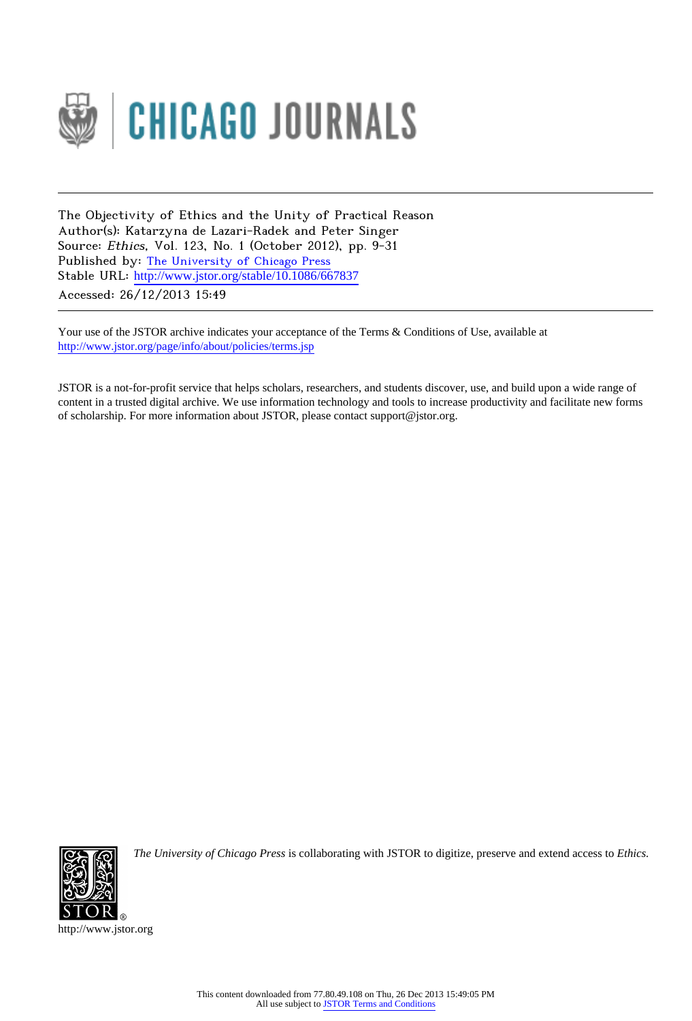

The Objectivity of Ethics and the Unity of Practical Reason Author(s): Katarzyna de Lazari-Radek and Peter Singer Source: Ethics, Vol. 123, No. 1 (October 2012), pp. 9-31 Published by: [The University of Chicago Press](http://www.jstor.org/action/showPublisher?publisherCode=ucpress) Stable URL: http://www.jstor.org/stable/10.1086/667837 Accessed: 26/12/2013 15:49

Your use of the JSTOR archive indicates your acceptance of the Terms & Conditions of Use, available at <http://www.jstor.org/page/info/about/policies/terms.jsp>

JSTOR is a not-for-profit service that helps scholars, researchers, and students discover, use, and build upon a wide range of content in a trusted digital archive. We use information technology and tools to increase productivity and facilitate new forms of scholarship. For more information about JSTOR, please contact support@jstor.org.



*The University of Chicago Press* is collaborating with JSTOR to digitize, preserve and extend access to *Ethics.*

http://www.jstor.org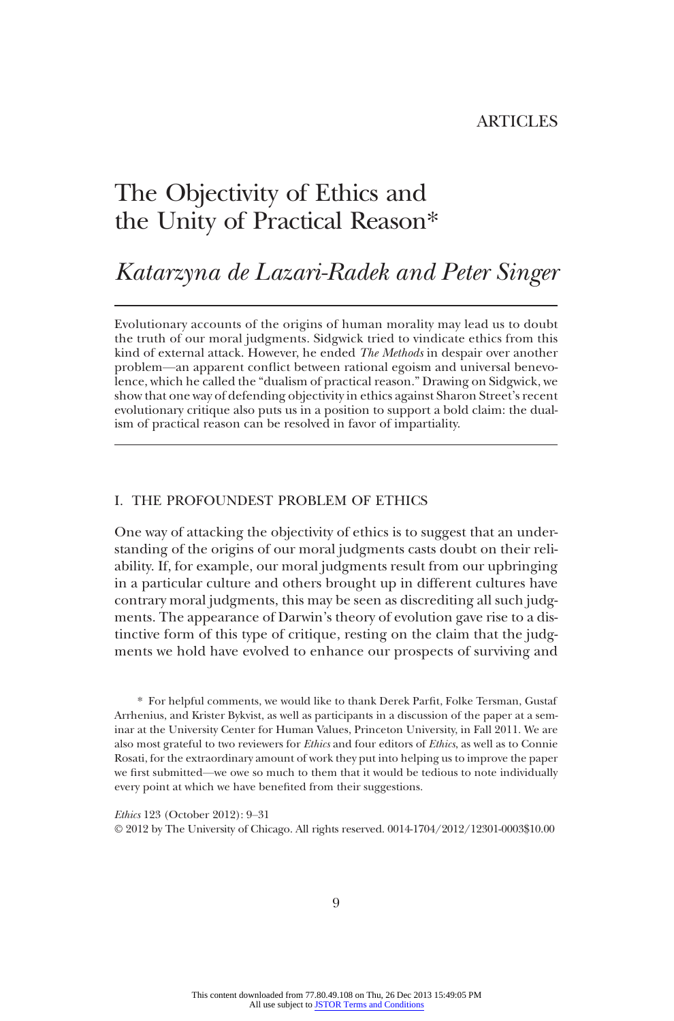# The Objectivity of Ethics and the Unity of Practical Reason\*

## Katarzyna de Lazari-Radek and Peter Singer

Evolutionary accounts of the origins of human morality may lead us to doubt the truth of our moral judgments. Sidgwick tried to vindicate ethics from this kind of external attack. However, he ended The Methods in despair over another problem—an apparent conflict between rational egoism and universal benevolence, which he called the "dualism of practical reason." Drawing on Sidgwick, we show that one way of defending objectivity in ethics against Sharon Street's recent evolutionary critique also puts us in a position to support a bold claim: the dualism of practical reason can be resolved in favor of impartiality.

#### I. THE PROFOUNDEST PROBLEM OF ETHICS

One way of attacking the objectivity of ethics is to suggest that an understanding of the origins of our moral judgments casts doubt on their reliability. If, for example, our moral judgments result from our upbringing in a particular culture and others brought up in different cultures have contrary moral judgments, this may be seen as discrediting all such judgments. The appearance of Darwin's theory of evolution gave rise to a distinctive form of this type of critique, resting on the claim that the judgments we hold have evolved to enhance our prospects of surviving and

\* For helpful comments, we would like to thank Derek Parfit, Folke Tersman, Gustaf Arrhenius, and Krister Bykvist, as well as participants in a discussion of the paper at a seminar at the University Center for Human Values, Princeton University, in Fall 2011. We are also most grateful to two reviewers for *Ethics* and four editors of *Ethics*, as well as to Connie Rosati, for the extraordinary amount of work they put into helping us to improve the paper we first submitted—we owe so much to them that it would be tedious to note individually every point at which we have benefited from their suggestions.

Ethics 123 (October 2012): 9–31

© 2012 by The University of Chicago. All rights reserved. 0014-1704/2012/12301-0003\$10.00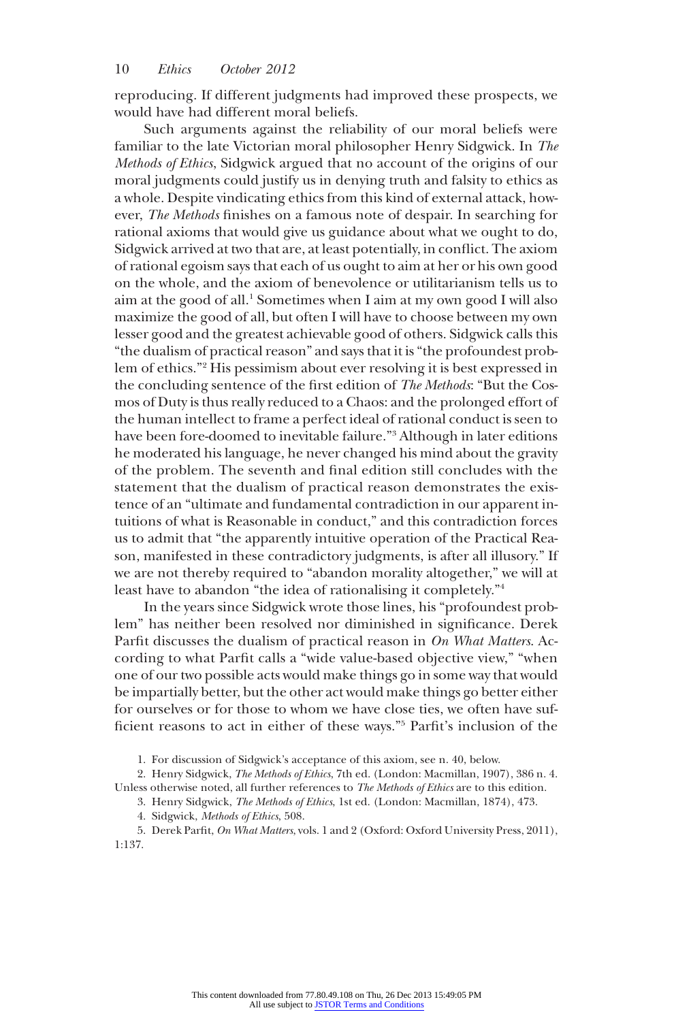reproducing. If different judgments had improved these prospects, we would have had different moral beliefs.

Such arguments against the reliability of our moral beliefs were familiar to the late Victorian moral philosopher Henry Sidgwick. In The Methods of Ethics, Sidgwick argued that no account of the origins of our moral judgments could justify us in denying truth and falsity to ethics as a whole. Despite vindicating ethics from this kind of external attack, however, The Methods finishes on a famous note of despair. In searching for rational axioms that would give us guidance about what we ought to do, Sidgwick arrived at two that are, at least potentially, in conflict. The axiom of rational egoism says that each of us ought to aim at her or his own good on the whole, and the axiom of benevolence or utilitarianism tells us to aim at the good of all.<sup>1</sup> Sometimes when I aim at my own good I will also maximize the good of all, but often I will have to choose between my own lesser good and the greatest achievable good of others. Sidgwick calls this "the dualism of practical reason" and says that it is "the profoundest problem of ethics."2 His pessimism about ever resolving it is best expressed in the concluding sentence of the first edition of The Methods: "But the Cosmos of Duty is thus really reduced to a Chaos: and the prolonged effort of the human intellect to frame a perfect ideal of rational conduct is seen to have been fore-doomed to inevitable failure."3 Although in later editions he moderated his language, he never changed his mind about the gravity of the problem. The seventh and final edition still concludes with the statement that the dualism of practical reason demonstrates the existence of an "ultimate and fundamental contradiction in our apparent intuitions of what is Reasonable in conduct," and this contradiction forces us to admit that "the apparently intuitive operation of the Practical Reason, manifested in these contradictory judgments, is after all illusory." If we are not thereby required to "abandon morality altogether," we will at least have to abandon "the idea of rationalising it completely."4

In the years since Sidgwick wrote those lines, his "profoundest problem" has neither been resolved nor diminished in significance. Derek Parfit discusses the dualism of practical reason in On What Matters. According to what Parfit calls a "wide value-based objective view," "when one of our two possible acts would make things go in some way that would be impartially better, but the other act would make things go better either for ourselves or for those to whom we have close ties, we often have sufficient reasons to act in either of these ways."5 Parfit's inclusion of the

1. For discussion of Sidgwick's acceptance of this axiom, see n. 40, below.

2. Henry Sidgwick, The Methods of Ethics, 7th ed. (London: Macmillan, 1907), 386 n. 4. Unless otherwise noted, all further references to *The Methods of Ethics* are to this edition.

3. Henry Sidgwick, The Methods of Ethics, 1st ed. (London: Macmillan, 1874), 473.

4. Sidgwick, Methods of Ethics, 508.

5. Derek Parfit, On What Matters, vols. 1 and 2 (Oxford: Oxford University Press, 2011), 1:137.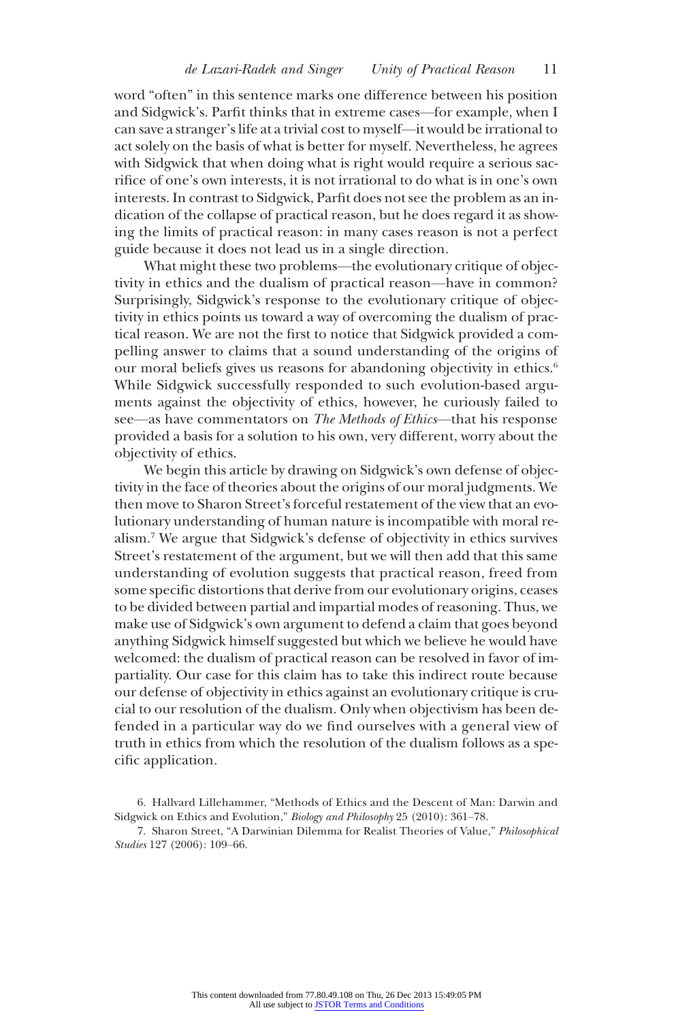word "often" in this sentence marks one difference between his position and Sidgwick's. Parfit thinks that in extreme cases—for example, when I can save a stranger's life at a trivial cost to myself—it would be irrational to act solely on the basis of what is better for myself. Nevertheless, he agrees with Sidgwick that when doing what is right would require a serious sacrifice of one's own interests, it is not irrational to do what is in one's own interests. In contrast to Sidgwick, Parfit does not see the problem as an indication of the collapse of practical reason, but he does regard it as showing the limits of practical reason: in many cases reason is not a perfect guide because it does not lead us in a single direction.

What might these two problems—the evolutionary critique of objectivity in ethics and the dualism of practical reason—have in common? Surprisingly, Sidgwick's response to the evolutionary critique of objectivity in ethics points us toward a way of overcoming the dualism of practical reason. We are not the first to notice that Sidgwick provided a compelling answer to claims that a sound understanding of the origins of our moral beliefs gives us reasons for abandoning objectivity in ethics.<sup>6</sup> While Sidgwick successfully responded to such evolution-based arguments against the objectivity of ethics, however, he curiously failed to see—as have commentators on The Methods of Ethics—that his response provided a basis for a solution to his own, very different, worry about the objectivity of ethics.

We begin this article by drawing on Sidgwick's own defense of objectivity in the face of theories about the origins of our moral judgments. We then move to Sharon Street's forceful restatement of the view that an evolutionary understanding of human nature is incompatible with moral realism.7 We argue that Sidgwick's defense of objectivity in ethics survives Street's restatement of the argument, but we will then add that this same understanding of evolution suggests that practical reason, freed from some specific distortions that derive from our evolutionary origins, ceases to be divided between partial and impartial modes of reasoning. Thus, we make use of Sidgwick's own argument to defend a claim that goes beyond anything Sidgwick himself suggested but which we believe he would have welcomed: the dualism of practical reason can be resolved in favor of impartiality. Our case for this claim has to take this indirect route because our defense of objectivity in ethics against an evolutionary critique is crucial to our resolution of the dualism. Only when objectivism has been defended in a particular way do we find ourselves with a general view of truth in ethics from which the resolution of the dualism follows as a specific application.

<sup>6.</sup> Hallvard Lillehammer, "Methods of Ethics and the Descent of Man: Darwin and Sidgwick on Ethics and Evolution," Biology and Philosophy 25 (2010): 361–78.

<sup>7.</sup> Sharon Street, "A Darwinian Dilemma for Realist Theories of Value," Philosophical Studies 127 (2006): 109–66.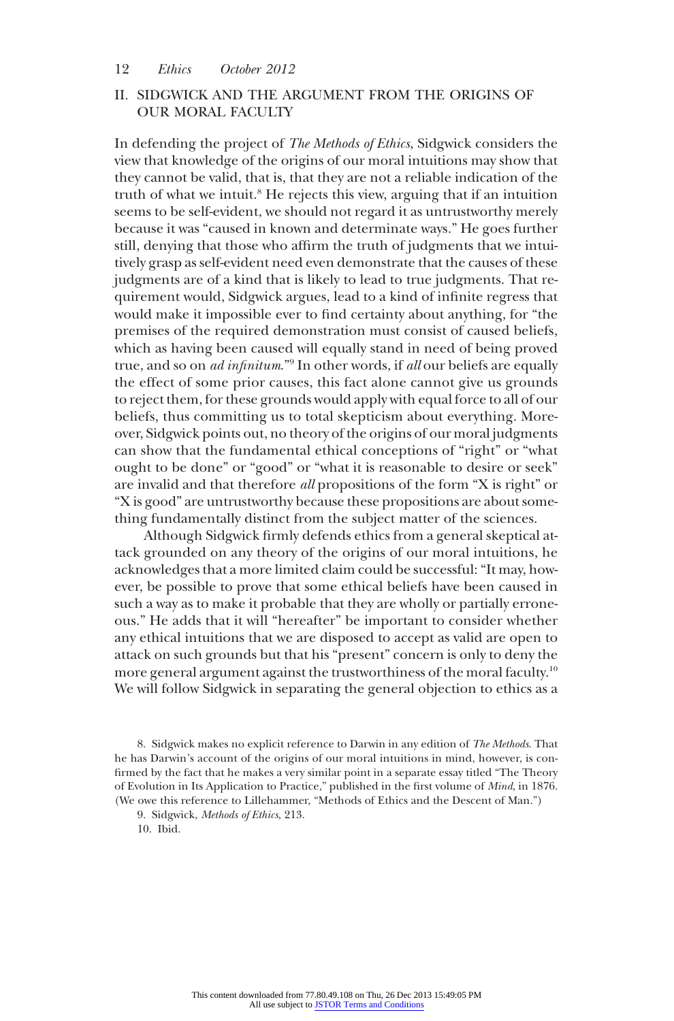### II. SIDGWICK AND THE ARGUMENT FROM THE ORIGINS OF OUR MORAL FACULTY

In defending the project of The Methods of Ethics, Sidgwick considers the view that knowledge of the origins of our moral intuitions may show that they cannot be valid, that is, that they are not a reliable indication of the truth of what we intuit.<sup>8</sup> He rejects this view, arguing that if an intuition seems to be self-evident, we should not regard it as untrustworthy merely because it was "caused in known and determinate ways." He goes further still, denying that those who affirm the truth of judgments that we intuitively grasp as self-evident need even demonstrate that the causes of these judgments are of a kind that is likely to lead to true judgments. That requirement would, Sidgwick argues, lead to a kind of infinite regress that would make it impossible ever to find certainty about anything, for "the premises of the required demonstration must consist of caused beliefs, which as having been caused will equally stand in need of being proved true, and so on *ad infinitum*."<sup>9</sup> In other words, if *all* our beliefs are equally the effect of some prior causes, this fact alone cannot give us grounds to reject them, for these grounds would apply with equal force to all of our beliefs, thus committing us to total skepticism about everything. Moreover, Sidgwick points out, no theory of the origins of our moral judgments can show that the fundamental ethical conceptions of "right" or "what ought to be done" or "good" or "what it is reasonable to desire or seek" are invalid and that therefore all propositions of the form "X is right" or "X is good" are untrustworthy because these propositions are about something fundamentally distinct from the subject matter of the sciences.

Although Sidgwick firmly defends ethics from a general skeptical attack grounded on any theory of the origins of our moral intuitions, he acknowledges that a more limited claim could be successful: "It may, however, be possible to prove that some ethical beliefs have been caused in such a way as to make it probable that they are wholly or partially erroneous." He adds that it will "hereafter" be important to consider whether any ethical intuitions that we are disposed to accept as valid are open to attack on such grounds but that his "present" concern is only to deny the more general argument against the trustworthiness of the moral faculty.10 We will follow Sidgwick in separating the general objection to ethics as a

8. Sidgwick makes no explicit reference to Darwin in any edition of The Methods. That he has Darwin's account of the origins of our moral intuitions in mind, however, is confirmed by the fact that he makes a very similar point in a separate essay titled "The Theory of Evolution in Its Application to Practice," published in the first volume of Mind, in 1876. (We owe this reference to Lillehammer, "Methods of Ethics and the Descent of Man.")

9. Sidgwick, Methods of Ethics, 213.

10. Ibid.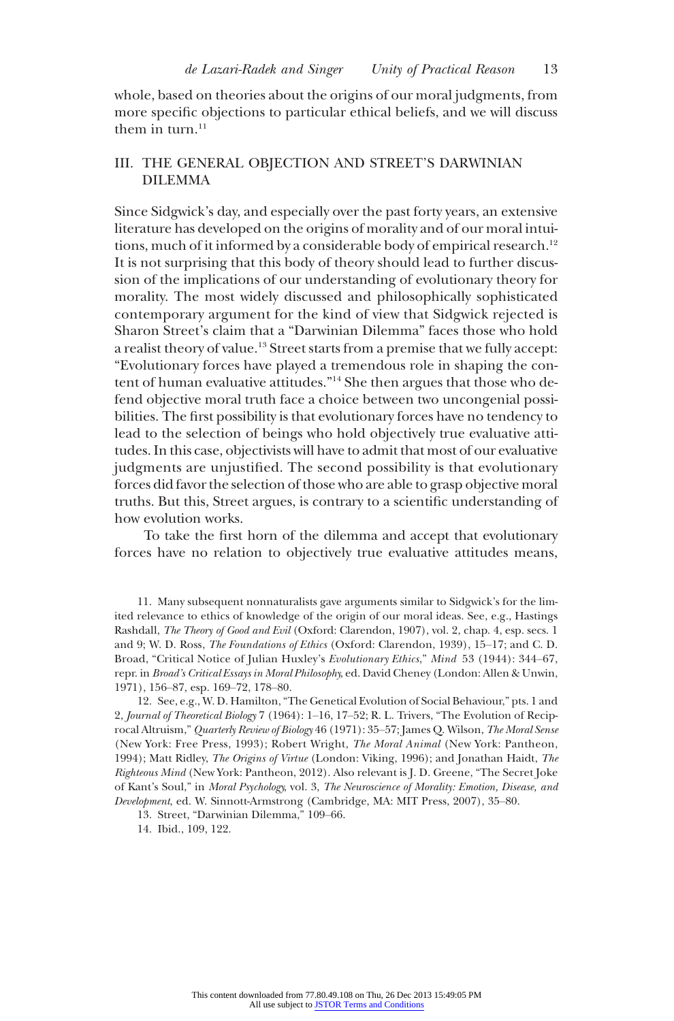whole, based on theories about the origins of our moral judgments, from more specific objections to particular ethical beliefs, and we will discuss them in turn. $11$ 

#### III. THE GENERAL OBJECTION AND STREET'S DARWINIAN DILEMMA

Since Sidgwick's day, and especially over the past forty years, an extensive literature has developed on the origins of morality and of our moral intuitions, much of it informed by a considerable body of empirical research.<sup>12</sup> It is not surprising that this body of theory should lead to further discussion of the implications of our understanding of evolutionary theory for morality. The most widely discussed and philosophically sophisticated contemporary argument for the kind of view that Sidgwick rejected is Sharon Street's claim that a "Darwinian Dilemma" faces those who hold a realist theory of value.<sup>13</sup> Street starts from a premise that we fully accept: "Evolutionary forces have played a tremendous role in shaping the content of human evaluative attitudes."14 She then argues that those who defend objective moral truth face a choice between two uncongenial possibilities. The first possibility is that evolutionary forces have no tendency to lead to the selection of beings who hold objectively true evaluative attitudes. In this case, objectivists will have to admit that most of our evaluative judgments are unjustified. The second possibility is that evolutionary forces did favor the selection of those who are able to grasp objective moral truths. But this, Street argues, is contrary to a scientific understanding of how evolution works.

To take the first horn of the dilemma and accept that evolutionary forces have no relation to objectively true evaluative attitudes means,

11. Many subsequent nonnaturalists gave arguments similar to Sidgwick's for the limited relevance to ethics of knowledge of the origin of our moral ideas. See, e.g., Hastings Rashdall, The Theory of Good and Evil (Oxford: Clarendon, 1907), vol. 2, chap. 4, esp. secs. 1 and 9; W. D. Ross, The Foundations of Ethics (Oxford: Clarendon, 1939), 15–17; and C. D. Broad, "Critical Notice of Julian Huxley's Evolutionary Ethics," Mind 53 (1944): 344–67, repr. in Broad's Critical Essays in Moral Philosophy, ed. David Cheney (London: Allen & Unwin, 1971), 156–87, esp. 169–72, 178–80.

12. See, e.g., W. D. Hamilton, "The Genetical Evolution of Social Behaviour," pts. 1 and 2, Journal of Theoretical Biology 7 (1964): 1–16, 17–52; R. L. Trivers, "The Evolution of Reciprocal Altruism," Quarterly Review of Biology 46 (1971): 35–57; James Q. Wilson, The Moral Sense (New York: Free Press, 1993); Robert Wright, The Moral Animal (New York: Pantheon, 1994); Matt Ridley, The Origins of Virtue (London: Viking, 1996); and Jonathan Haidt, The Righteous Mind (New York: Pantheon, 2012). Also relevant is J. D. Greene, "The Secret Joke of Kant's Soul," in Moral Psychology, vol. 3, The Neuroscience of Morality: Emotion, Disease, and Development, ed. W. Sinnott-Armstrong (Cambridge, MA: MIT Press, 2007), 35–80.

13. Street, "Darwinian Dilemma," 109–66.

14. Ibid., 109, 122.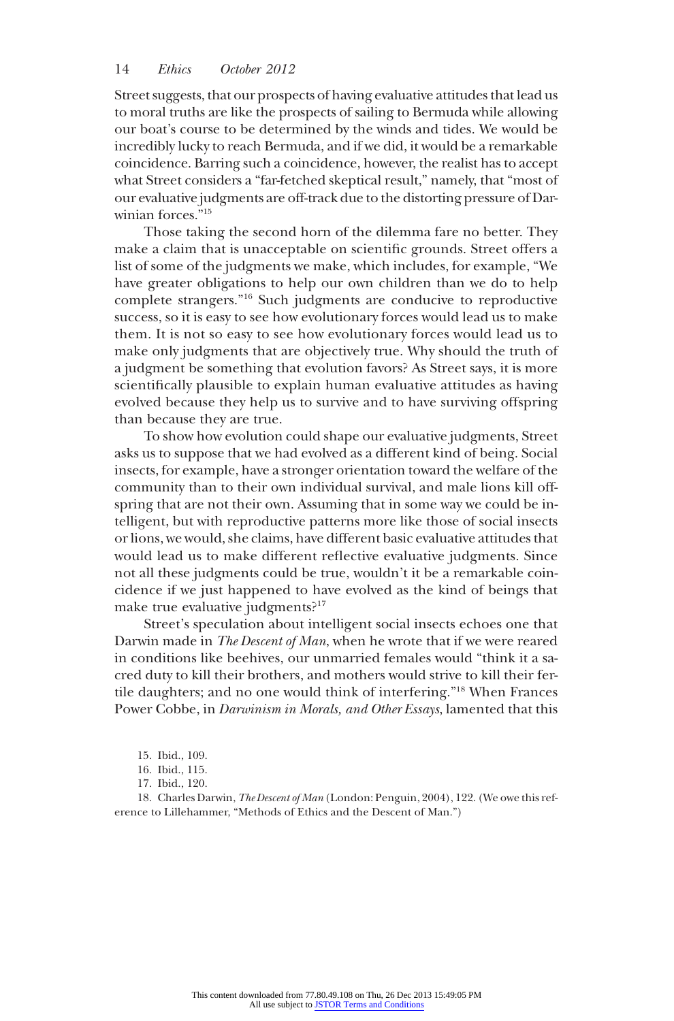Street suggests, that our prospects of having evaluative attitudes that lead us to moral truths are like the prospects of sailing to Bermuda while allowing our boat's course to be determined by the winds and tides. We would be incredibly lucky to reach Bermuda, and if we did, it would be a remarkable coincidence. Barring such a coincidence, however, the realist has to accept what Street considers a "far-fetched skeptical result," namely, that "most of our evaluative judgments are off-track due to the distorting pressure of Darwinian forces."<sup>15</sup>

Those taking the second horn of the dilemma fare no better. They make a claim that is unacceptable on scientific grounds. Street offers a list of some of the judgments we make, which includes, for example, "We have greater obligations to help our own children than we do to help complete strangers."16 Such judgments are conducive to reproductive success, so it is easy to see how evolutionary forces would lead us to make them. It is not so easy to see how evolutionary forces would lead us to make only judgments that are objectively true. Why should the truth of a judgment be something that evolution favors? As Street says, it is more scientifically plausible to explain human evaluative attitudes as having evolved because they help us to survive and to have surviving offspring than because they are true.

To show how evolution could shape our evaluative judgments, Street asks us to suppose that we had evolved as a different kind of being. Social insects, for example, have a stronger orientation toward the welfare of the community than to their own individual survival, and male lions kill offspring that are not their own. Assuming that in some way we could be intelligent, but with reproductive patterns more like those of social insects or lions, we would, she claims, have different basic evaluative attitudes that would lead us to make different reflective evaluative judgments. Since not all these judgments could be true, wouldn't it be a remarkable coincidence if we just happened to have evolved as the kind of beings that make true evaluative judgments?<sup>17</sup>

Street's speculation about intelligent social insects echoes one that Darwin made in The Descent of Man, when he wrote that if we were reared in conditions like beehives, our unmarried females would "think it a sacred duty to kill their brothers, and mothers would strive to kill their fertile daughters; and no one would think of interfering."18 When Frances Power Cobbe, in *Darwinism in Morals, and Other Essays*, lamented that this

- 15. Ibid., 109.
- 16. Ibid., 115.
- 17. Ibid., 120.

18. Charles Darwin, The Descent of Man (London: Penguin, 2004), 122. (We owe this reference to Lillehammer, "Methods of Ethics and the Descent of Man.")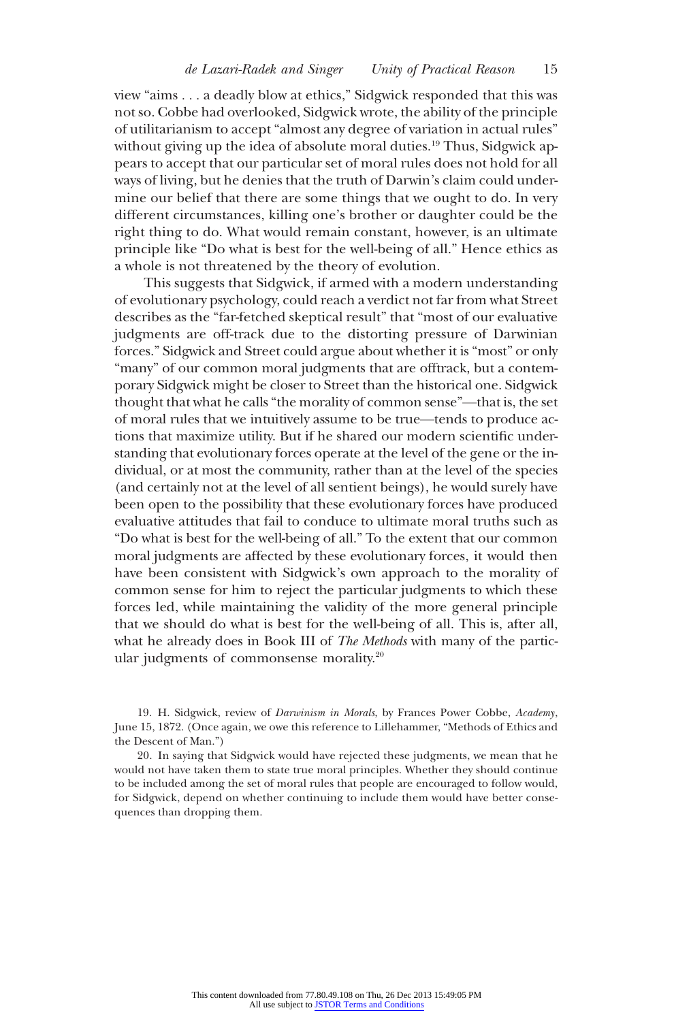view "aims ... a deadly blow at ethics," Sidgwick responded that this was not so. Cobbe had overlooked, Sidgwick wrote, the ability of the principle of utilitarianism to accept "almost any degree of variation in actual rules" without giving up the idea of absolute moral duties.<sup>19</sup> Thus, Sidgwick appears to accept that our particular set of moral rules does not hold for all ways of living, but he denies that the truth of Darwin's claim could undermine our belief that there are some things that we ought to do. In very different circumstances, killing one's brother or daughter could be the right thing to do. What would remain constant, however, is an ultimate principle like "Do what is best for the well-being of all." Hence ethics as a whole is not threatened by the theory of evolution.

This suggests that Sidgwick, if armed with a modern understanding of evolutionary psychology, could reach a verdict not far from what Street describes as the "far-fetched skeptical result" that "most of our evaluative judgments are off-track due to the distorting pressure of Darwinian forces." Sidgwick and Street could argue about whether it is "most" or only "many" of our common moral judgments that are offtrack, but a contemporary Sidgwick might be closer to Street than the historical one. Sidgwick thought that what he calls "the morality of common sense"—that is, the set of moral rules that we intuitively assume to be true—tends to produce actions that maximize utility. But if he shared our modern scientific understanding that evolutionary forces operate at the level of the gene or the individual, or at most the community, rather than at the level of the species (and certainly not at the level of all sentient beings), he would surely have been open to the possibility that these evolutionary forces have produced evaluative attitudes that fail to conduce to ultimate moral truths such as "Do what is best for the well-being of all." To the extent that our common moral judgments are affected by these evolutionary forces, it would then have been consistent with Sidgwick's own approach to the morality of common sense for him to reject the particular judgments to which these forces led, while maintaining the validity of the more general principle that we should do what is best for the well-being of all. This is, after all, what he already does in Book III of *The Methods* with many of the particular judgments of commonsense morality.20

19. H. Sidgwick, review of Darwinism in Morals, by Frances Power Cobbe, Academy, June 15, 1872. (Once again, we owe this reference to Lillehammer, "Methods of Ethics and the Descent of Man.")

20. In saying that Sidgwick would have rejected these judgments, we mean that he would not have taken them to state true moral principles. Whether they should continue to be included among the set of moral rules that people are encouraged to follow would, for Sidgwick, depend on whether continuing to include them would have better consequences than dropping them.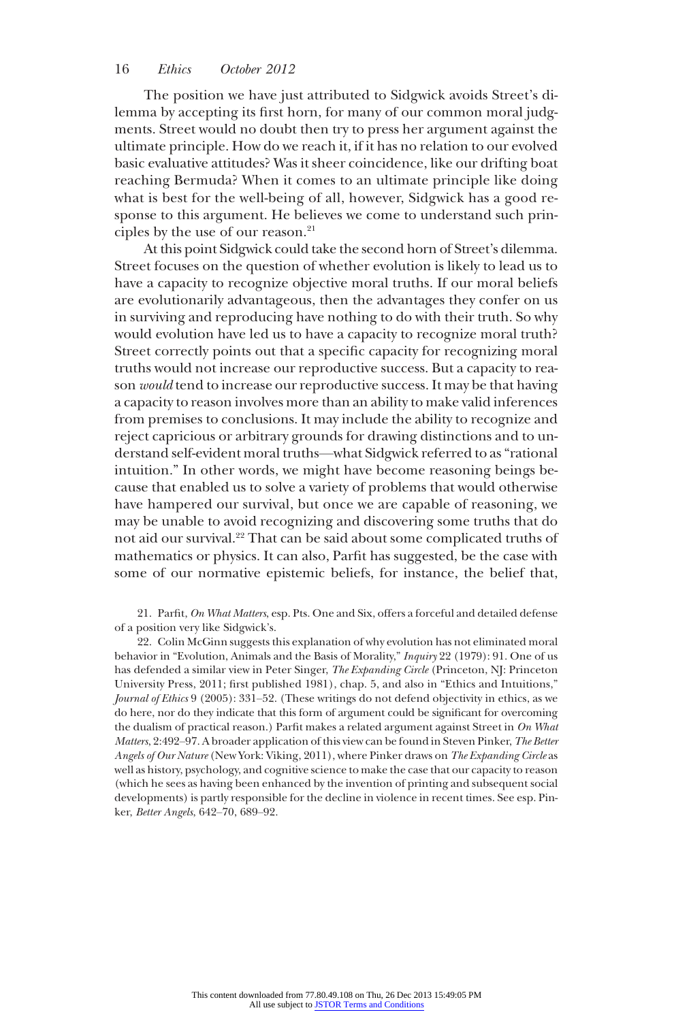The position we have just attributed to Sidgwick avoids Street's dilemma by accepting its first horn, for many of our common moral judgments. Street would no doubt then try to press her argument against the ultimate principle. How do we reach it, if it has no relation to our evolved basic evaluative attitudes? Was it sheer coincidence, like our drifting boat reaching Bermuda? When it comes to an ultimate principle like doing what is best for the well-being of all, however, Sidgwick has a good response to this argument. He believes we come to understand such principles by the use of our reason. $21$ 

At this point Sidgwick could take the second horn of Street's dilemma. Street focuses on the question of whether evolution is likely to lead us to have a capacity to recognize objective moral truths. If our moral beliefs are evolutionarily advantageous, then the advantages they confer on us in surviving and reproducing have nothing to do with their truth. So why would evolution have led us to have a capacity to recognize moral truth? Street correctly points out that a specific capacity for recognizing moral truths would not increase our reproductive success. But a capacity to reason *would* tend to increase our reproductive success. It may be that having a capacity to reason involves more than an ability to make valid inferences from premises to conclusions. It may include the ability to recognize and reject capricious or arbitrary grounds for drawing distinctions and to understand self-evident moral truths—what Sidgwick referred to as "rational intuition." In other words, we might have become reasoning beings because that enabled us to solve a variety of problems that would otherwise have hampered our survival, but once we are capable of reasoning, we may be unable to avoid recognizing and discovering some truths that do not aid our survival.22 That can be said about some complicated truths of mathematics or physics. It can also, Parfit has suggested, be the case with some of our normative epistemic beliefs, for instance, the belief that,

21. Parfit, On What Matters, esp. Pts. One and Six, offers a forceful and detailed defense of a position very like Sidgwick's.

22. Colin McGinn suggests this explanation of why evolution has not eliminated moral behavior in "Evolution, Animals and the Basis of Morality," Inquiry 22 (1979): 91. One of us has defended a similar view in Peter Singer, *The Expanding Circle* (Princeton, NJ: Princeton University Press, 2011; first published 1981), chap. 5, and also in "Ethics and Intuitions," Journal of Ethics 9 (2005): 331–52. (These writings do not defend objectivity in ethics, as we do here, nor do they indicate that this form of argument could be significant for overcoming the dualism of practical reason.) Parfit makes a related argument against Street in On What Matters, 2:492–97. A broader application of this view can be found in Steven Pinker, The Better Angels of Our Nature (New York: Viking, 2011), where Pinker draws on The Expanding Circle as well as history, psychology, and cognitive science to make the case that our capacity to reason (which he sees as having been enhanced by the invention of printing and subsequent social developments) is partly responsible for the decline in violence in recent times. See esp. Pinker, Better Angels, 642–70, 689–92.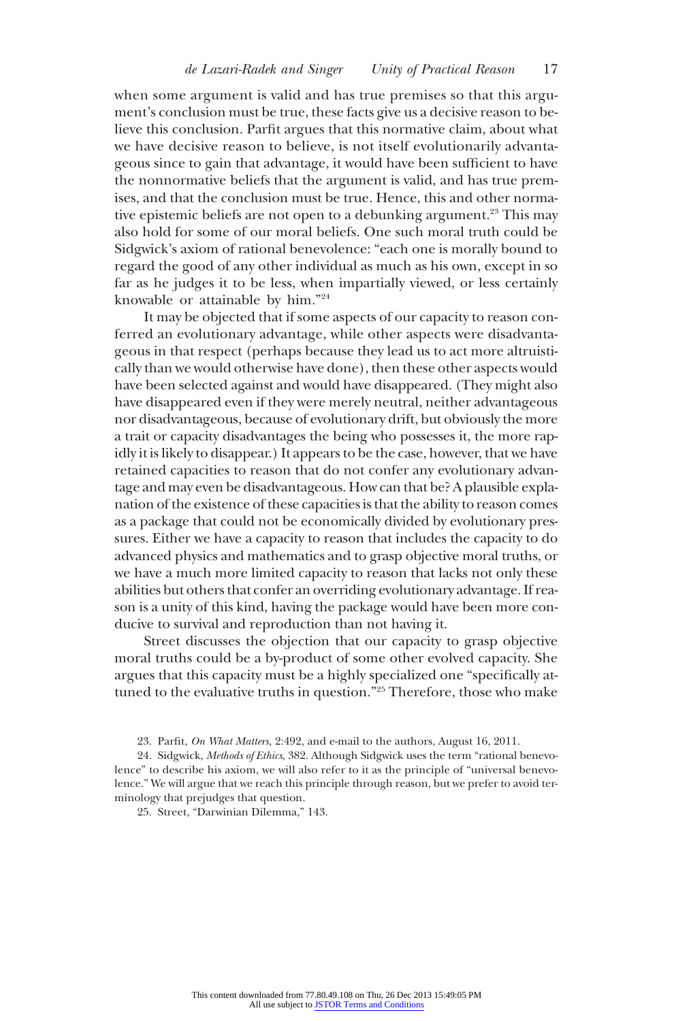when some argument is valid and has true premises so that this argument's conclusion must be true, these facts give us a decisive reason to believe this conclusion. Parfit argues that this normative claim, about what we have decisive reason to believe, is not itself evolutionarily advantageous since to gain that advantage, it would have been sufficient to have the nonnormative beliefs that the argument is valid, and has true premises, and that the conclusion must be true. Hence, this and other normative epistemic beliefs are not open to a debunking argument.<sup>23</sup> This may also hold for some of our moral beliefs. One such moral truth could be Sidgwick's axiom of rational benevolence: "each one is morally bound to regard the good of any other individual as much as his own, except in so far as he judges it to be less, when impartially viewed, or less certainly knowable or attainable by him."24

It may be objected that if some aspects of our capacity to reason conferred an evolutionary advantage, while other aspects were disadvantageous in that respect (perhaps because they lead us to act more altruistically than we would otherwise have done), then these other aspects would have been selected against and would have disappeared. (They might also have disappeared even if they were merely neutral, neither advantageous nor disadvantageous, because of evolutionary drift, but obviously the more a trait or capacity disadvantages the being who possesses it, the more rapidly it is likely to disappear.) It appears to be the case, however, that we have retained capacities to reason that do not confer any evolutionary advantage and may even be disadvantageous. How can that be? A plausible explanation of the existence of these capacities is that the ability to reason comes as a package that could not be economically divided by evolutionary pressures. Either we have a capacity to reason that includes the capacity to do advanced physics and mathematics and to grasp objective moral truths, or we have a much more limited capacity to reason that lacks not only these abilities but others that confer an overriding evolutionary advantage. If reason is a unity of this kind, having the package would have been more conducive to survival and reproduction than not having it.

Street discusses the objection that our capacity to grasp objective moral truths could be a by-product of some other evolved capacity. She argues that this capacity must be a highly specialized one "specifically attuned to the evaluative truths in question."25 Therefore, those who make

23. Parfit, On What Matters, 2:492, and e-mail to the authors, August 16, 2011.

24. Sidgwick, Methods of Ethics, 382. Although Sidgwick uses the term "rational benevolence" to describe his axiom, we will also refer to it as the principle of "universal benevolence." We will argue that we reach this principle through reason, but we prefer to avoid terminology that prejudges that question.

25. Street, "Darwinian Dilemma," 143.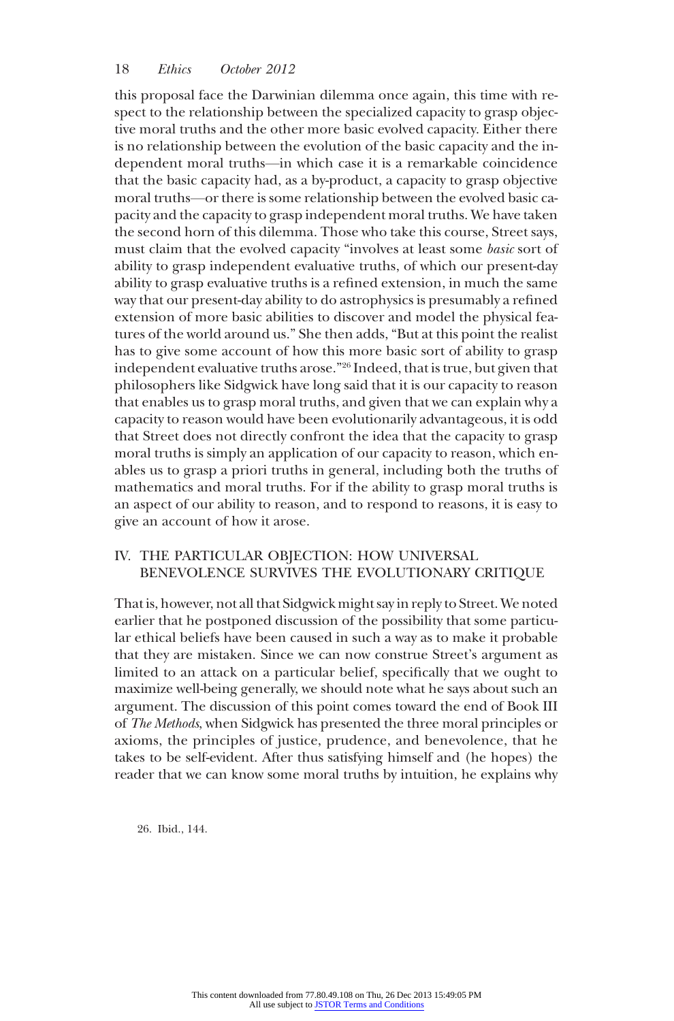this proposal face the Darwinian dilemma once again, this time with respect to the relationship between the specialized capacity to grasp objective moral truths and the other more basic evolved capacity. Either there is no relationship between the evolution of the basic capacity and the independent moral truths—in which case it is a remarkable coincidence that the basic capacity had, as a by-product, a capacity to grasp objective moral truths—or there is some relationship between the evolved basic capacity and the capacity to grasp independent moral truths. We have taken the second horn of this dilemma. Those who take this course, Street says, must claim that the evolved capacity "involves at least some basic sort of ability to grasp independent evaluative truths, of which our present-day ability to grasp evaluative truths is a refined extension, in much the same way that our present-day ability to do astrophysics is presumably a refined extension of more basic abilities to discover and model the physical features of the world around us." She then adds, "But at this point the realist has to give some account of how this more basic sort of ability to grasp independent evaluative truths arose."26 Indeed, that is true, but given that philosophers like Sidgwick have long said that it is our capacity to reason that enables us to grasp moral truths, and given that we can explain why a capacity to reason would have been evolutionarily advantageous, it is odd that Street does not directly confront the idea that the capacity to grasp moral truths is simply an application of our capacity to reason, which enables us to grasp a priori truths in general, including both the truths of mathematics and moral truths. For if the ability to grasp moral truths is an aspect of our ability to reason, and to respond to reasons, it is easy to give an account of how it arose.

#### IV. THE PARTICULAR OBJECTION: HOW UNIVERSAL BENEVOLENCE SURVIVES THE EVOLUTIONARY CRITIQUE

That is, however, not all that Sidgwick might say in reply to Street. We noted earlier that he postponed discussion of the possibility that some particular ethical beliefs have been caused in such a way as to make it probable that they are mistaken. Since we can now construe Street's argument as limited to an attack on a particular belief, specifically that we ought to maximize well-being generally, we should note what he says about such an argument. The discussion of this point comes toward the end of Book III of The Methods, when Sidgwick has presented the three moral principles or axioms, the principles of justice, prudence, and benevolence, that he takes to be self-evident. After thus satisfying himself and (he hopes) the reader that we can know some moral truths by intuition, he explains why

26. Ibid., 144.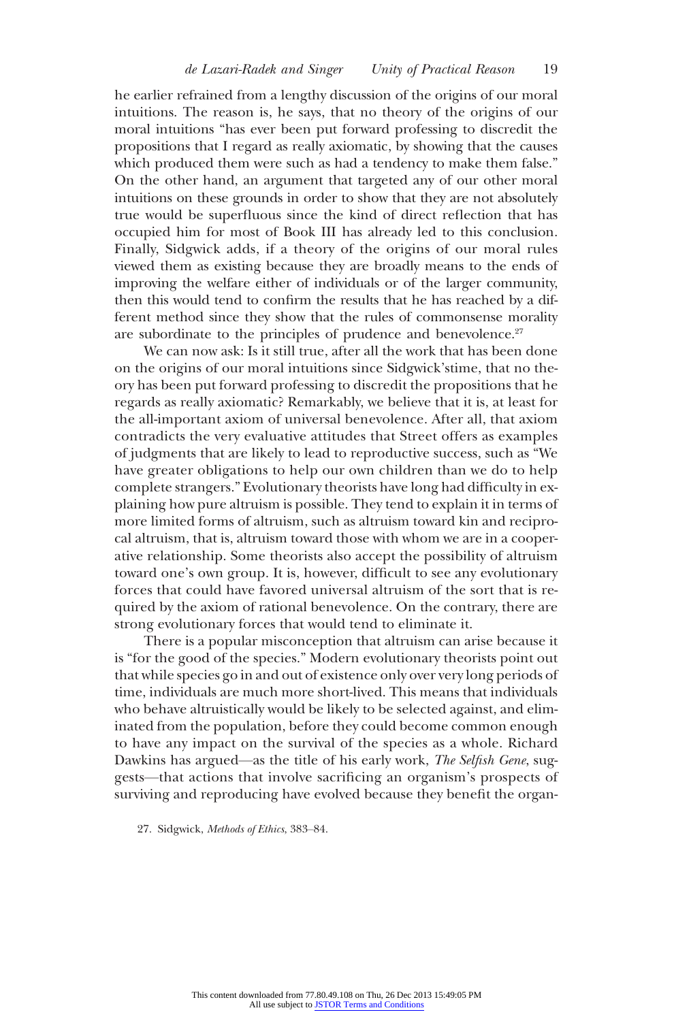he earlier refrained from a lengthy discussion of the origins of our moral intuitions. The reason is, he says, that no theory of the origins of our moral intuitions "has ever been put forward professing to discredit the propositions that I regard as really axiomatic, by showing that the causes which produced them were such as had a tendency to make them false." On the other hand, an argument that targeted any of our other moral intuitions on these grounds in order to show that they are not absolutely true would be superfluous since the kind of direct reflection that has occupied him for most of Book III has already led to this conclusion. Finally, Sidgwick adds, if a theory of the origins of our moral rules viewed them as existing because they are broadly means to the ends of improving the welfare either of individuals or of the larger community, then this would tend to confirm the results that he has reached by a different method since they show that the rules of commonsense morality are subordinate to the principles of prudence and benevolence.<sup>27</sup>

We can now ask: Is it still true, after all the work that has been done on the origins of our moral intuitions since Sidgwick'stime, that no theory has been put forward professing to discredit the propositions that he regards as really axiomatic? Remarkably, we believe that it is, at least for the all-important axiom of universal benevolence. After all, that axiom contradicts the very evaluative attitudes that Street offers as examples of judgments that are likely to lead to reproductive success, such as "We have greater obligations to help our own children than we do to help complete strangers." Evolutionary theorists have long had difficulty in explaining how pure altruism is possible. They tend to explain it in terms of more limited forms of altruism, such as altruism toward kin and reciprocal altruism, that is, altruism toward those with whom we are in a cooperative relationship. Some theorists also accept the possibility of altruism toward one's own group. It is, however, difficult to see any evolutionary forces that could have favored universal altruism of the sort that is required by the axiom of rational benevolence. On the contrary, there are strong evolutionary forces that would tend to eliminate it.

There is a popular misconception that altruism can arise because it is "for the good of the species." Modern evolutionary theorists point out that while species go in and out of existence only over very long periods of time, individuals are much more short-lived. This means that individuals who behave altruistically would be likely to be selected against, and eliminated from the population, before they could become common enough to have any impact on the survival of the species as a whole. Richard Dawkins has argued—as the title of his early work, The Selfish Gene, suggests—that actions that involve sacrificing an organism's prospects of surviving and reproducing have evolved because they benefit the organ-

27. Sidgwick, Methods of Ethics, 383–84.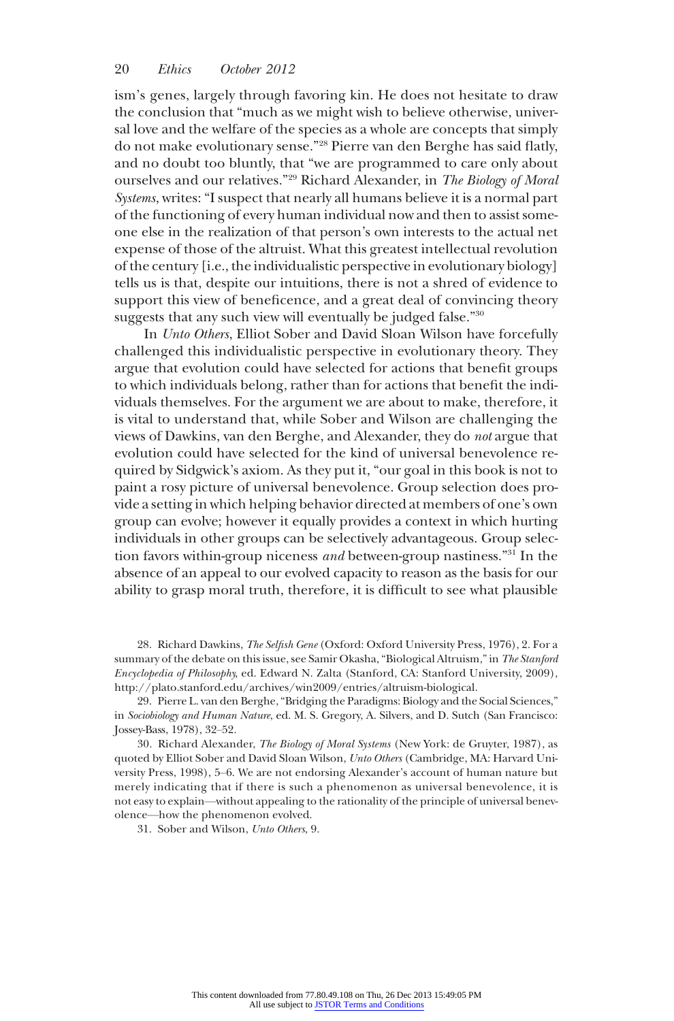ism's genes, largely through favoring kin. He does not hesitate to draw the conclusion that "much as we might wish to believe otherwise, universal love and the welfare of the species as a whole are concepts that simply do not make evolutionary sense."28 Pierre van den Berghe has said flatly, and no doubt too bluntly, that "we are programmed to care only about ourselves and our relatives."29 Richard Alexander, in The Biology of Moral Systems, writes: "I suspect that nearly all humans believe it is a normal part of the functioning of every human individual now and then to assist someone else in the realization of that person's own interests to the actual net expense of those of the altruist. What this greatest intellectual revolution of the century [i.e., the individualistic perspective in evolutionary biology] tells us is that, despite our intuitions, there is not a shred of evidence to support this view of beneficence, and a great deal of convincing theory suggests that any such view will eventually be judged false."30

In Unto Others, Elliot Sober and David Sloan Wilson have forcefully challenged this individualistic perspective in evolutionary theory. They argue that evolution could have selected for actions that benefit groups to which individuals belong, rather than for actions that benefit the individuals themselves. For the argument we are about to make, therefore, it is vital to understand that, while Sober and Wilson are challenging the views of Dawkins, van den Berghe, and Alexander, they do not argue that evolution could have selected for the kind of universal benevolence required by Sidgwick's axiom. As they put it, "our goal in this book is not to paint a rosy picture of universal benevolence. Group selection does provide a setting in which helping behavior directed at members of one's own group can evolve; however it equally provides a context in which hurting individuals in other groups can be selectively advantageous. Group selection favors within-group niceness and between-group nastiness."<sup>31</sup> In the absence of an appeal to our evolved capacity to reason as the basis for our ability to grasp moral truth, therefore, it is difficult to see what plausible

28. Richard Dawkins, The Selfish Gene (Oxford: Oxford University Press, 1976), 2. For a summary of the debate on this issue, see Samir Okasha, "Biological Altruism," in The Stanford Encyclopedia of Philosophy, ed. Edward N. Zalta (Stanford, CA: Stanford University, 2009), http://plato.stanford.edu/archives/win2009/entries/altruism-biological.

29. Pierre L. van den Berghe, "Bridging the Paradigms: Biology and the Social Sciences," in Sociobiology and Human Nature, ed. M. S. Gregory, A. Silvers, and D. Sutch (San Francisco: Jossey-Bass, 1978), 32–52.

30. Richard Alexander, The Biology of Moral Systems (New York: de Gruyter, 1987), as quoted by Elliot Sober and David Sloan Wilson, Unto Others (Cambridge, MA: Harvard University Press, 1998), 5–6. We are not endorsing Alexander's account of human nature but merely indicating that if there is such a phenomenon as universal benevolence, it is not easy to explain—without appealing to the rationality of the principle of universal benevolence—how the phenomenon evolved.

31. Sober and Wilson, Unto Others, 9.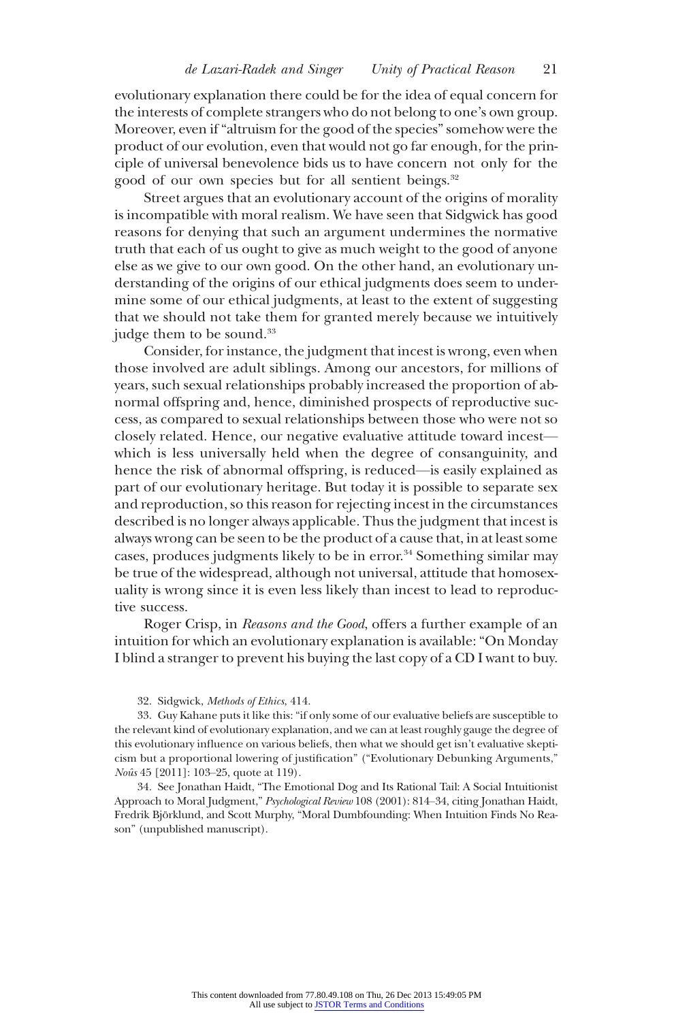evolutionary explanation there could be for the idea of equal concern for the interests of complete strangers who do not belong to one's own group. Moreover, even if "altruism for the good of the species" somehow were the product of our evolution, even that would not go far enough, for the principle of universal benevolence bids us to have concern not only for the good of our own species but for all sentient beings.<sup>32</sup>

Street argues that an evolutionary account of the origins of morality is incompatible with moral realism. We have seen that Sidgwick has good reasons for denying that such an argument undermines the normative truth that each of us ought to give as much weight to the good of anyone else as we give to our own good. On the other hand, an evolutionary understanding of the origins of our ethical judgments does seem to undermine some of our ethical judgments, at least to the extent of suggesting that we should not take them for granted merely because we intuitively judge them to be sound.<sup>33</sup>

Consider, for instance, the judgment that incest is wrong, even when those involved are adult siblings. Among our ancestors, for millions of years, such sexual relationships probably increased the proportion of abnormal offspring and, hence, diminished prospects of reproductive success, as compared to sexual relationships between those who were not so closely related. Hence, our negative evaluative attitude toward incest which is less universally held when the degree of consanguinity, and hence the risk of abnormal offspring, is reduced—is easily explained as part of our evolutionary heritage. But today it is possible to separate sex and reproduction, so this reason for rejecting incest in the circumstances described is no longer always applicable. Thus the judgment that incest is always wrong can be seen to be the product of a cause that, in at least some cases, produces judgments likely to be in error.<sup>34</sup> Something similar may be true of the widespread, although not universal, attitude that homosexuality is wrong since it is even less likely than incest to lead to reproductive success.

Roger Crisp, in Reasons and the Good, offers a further example of an intuition for which an evolutionary explanation is available: "On Monday I blind a stranger to prevent his buying the last copy of a CD I want to buy.

32. Sidgwick, Methods of Ethics, 414.

33. Guy Kahane puts it like this: "if only some of our evaluative beliefs are susceptible to the relevant kind of evolutionary explanation, and we can at least roughly gauge the degree of this evolutionary influence on various beliefs, then what we should get isn't evaluative skepticism but a proportional lowering of justification" ("Evolutionary Debunking Arguments," Noûs 45 [2011]: 103-25, quote at 119).

34. See Jonathan Haidt, "The Emotional Dog and Its Rational Tail: A Social Intuitionist Approach to Moral Judgment," Psychological Review 108 (2001): 814-34, citing Jonathan Haidt, Fredrik Björklund, and Scott Murphy, "Moral Dumbfounding: When Intuition Finds No Reason" (unpublished manuscript).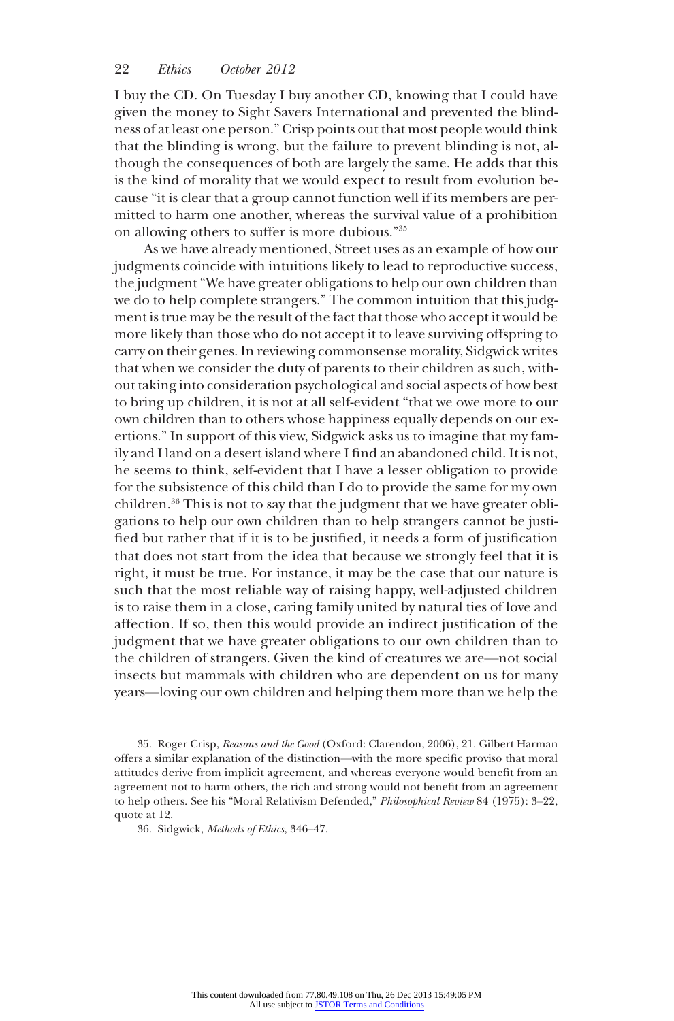I buy the CD. On Tuesday I buy another CD, knowing that I could have given the money to Sight Savers International and prevented the blindness of at least one person." Crisp points out that most people would think that the blinding is wrong, but the failure to prevent blinding is not, although the consequences of both are largely the same. He adds that this is the kind of morality that we would expect to result from evolution because "it is clear that a group cannot function well if its members are permitted to harm one another, whereas the survival value of a prohibition on allowing others to suffer is more dubious."35

As we have already mentioned, Street uses as an example of how our judgments coincide with intuitions likely to lead to reproductive success, the judgment "We have greater obligations to help our own children than we do to help complete strangers." The common intuition that this judgment is true may be the result of the fact that those who accept it would be more likely than those who do not accept it to leave surviving offspring to carry on their genes. In reviewing commonsense morality, Sidgwick writes that when we consider the duty of parents to their children as such, without taking into consideration psychological and social aspects of how best to bring up children, it is not at all self-evident "that we owe more to our own children than to others whose happiness equally depends on our exertions." In support of this view, Sidgwick asks us to imagine that my family and I land on a desert island where I find an abandoned child. It is not, he seems to think, self-evident that I have a lesser obligation to provide for the subsistence of this child than I do to provide the same for my own children.<sup>36</sup> This is not to say that the judgment that we have greater obligations to help our own children than to help strangers cannot be justified but rather that if it is to be justified, it needs a form of justification that does not start from the idea that because we strongly feel that it is right, it must be true. For instance, it may be the case that our nature is such that the most reliable way of raising happy, well-adjusted children is to raise them in a close, caring family united by natural ties of love and affection. If so, then this would provide an indirect justification of the judgment that we have greater obligations to our own children than to the children of strangers. Given the kind of creatures we are—not social insects but mammals with children who are dependent on us for many years—loving our own children and helping them more than we help the

35. Roger Crisp, Reasons and the Good (Oxford: Clarendon, 2006), 21. Gilbert Harman offers a similar explanation of the distinction—with the more specific proviso that moral attitudes derive from implicit agreement, and whereas everyone would benefit from an agreement not to harm others, the rich and strong would not benefit from an agreement to help others. See his "Moral Relativism Defended," Philosophical Review 84 (1975): 3–22, quote at 12.

36. Sidgwick, Methods of Ethics, 346–47.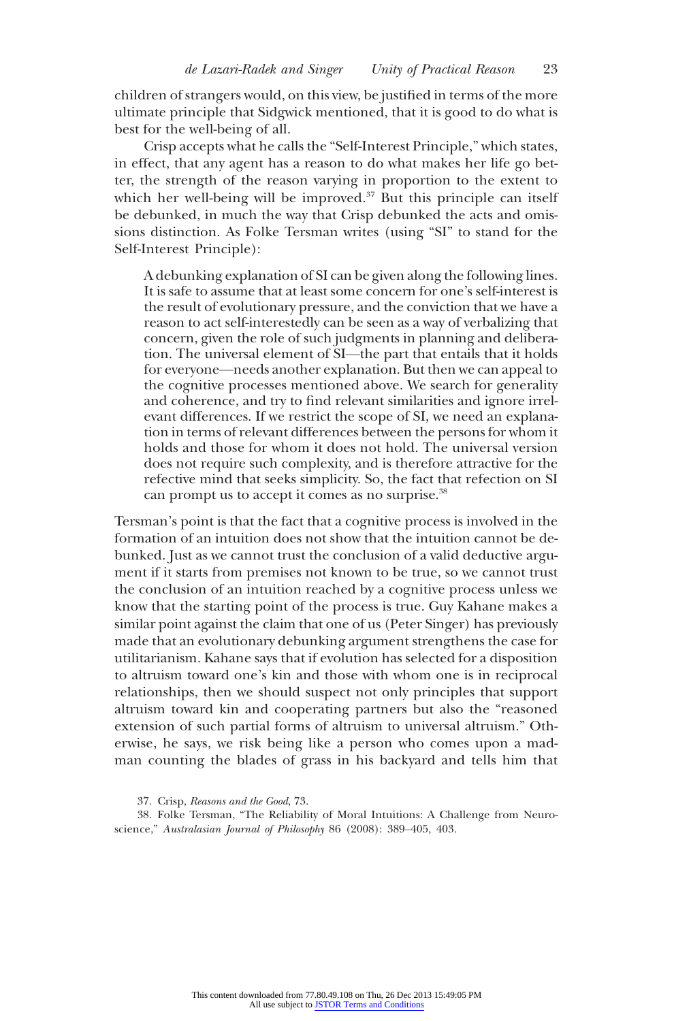children of strangers would, on this view, be justified in terms of the more ultimate principle that Sidgwick mentioned, that it is good to do what is best for the well-being of all.

Crisp accepts what he calls the "Self-Interest Principle," which states, in effect, that any agent has a reason to do what makes her life go better, the strength of the reason varying in proportion to the extent to which her well-being will be improved.<sup>37</sup> But this principle can itself be debunked, in much the way that Crisp debunked the acts and omissions distinction. As Folke Tersman writes (using "SI" to stand for the Self-Interest Principle):

A debunking explanation of SI can be given along the following lines. It is safe to assume that at least some concern for one's self-interest is the result of evolutionary pressure, and the conviction that we have a reason to act self-interestedly can be seen as a way of verbalizing that concern, given the role of such judgments in planning and deliberation. The universal element of SI—the part that entails that it holds for everyone—needs another explanation. But then we can appeal to the cognitive processes mentioned above. We search for generality and coherence, and try to find relevant similarities and ignore irrelevant differences. If we restrict the scope of SI, we need an explanation in terms of relevant differences between the persons for whom it holds and those for whom it does not hold. The universal version does not require such complexity, and is therefore attractive for the refective mind that seeks simplicity. So, the fact that refection on SI can prompt us to accept it comes as no surprise.<sup>38</sup>

Tersman's point is that the fact that a cognitive process is involved in the formation of an intuition does not show that the intuition cannot be debunked. Just as we cannot trust the conclusion of a valid deductive argument if it starts from premises not known to be true, so we cannot trust the conclusion of an intuition reached by a cognitive process unless we know that the starting point of the process is true. Guy Kahane makes a similar point against the claim that one of us (Peter Singer) has previously made that an evolutionary debunking argument strengthens the case for utilitarianism. Kahane says that if evolution has selected for a disposition to altruism toward one's kin and those with whom one is in reciprocal relationships, then we should suspect not only principles that support altruism toward kin and cooperating partners but also the "reasoned extension of such partial forms of altruism to universal altruism." Otherwise, he says, we risk being like a person who comes upon a madman counting the blades of grass in his backyard and tells him that

38. Folke Tersman, "The Reliability of Moral Intuitions: A Challenge from Neuroscience," Australasian Journal of Philosophy 86 (2008): 389-405, 403.

<sup>37.</sup> Crisp, Reasons and the Good, 73.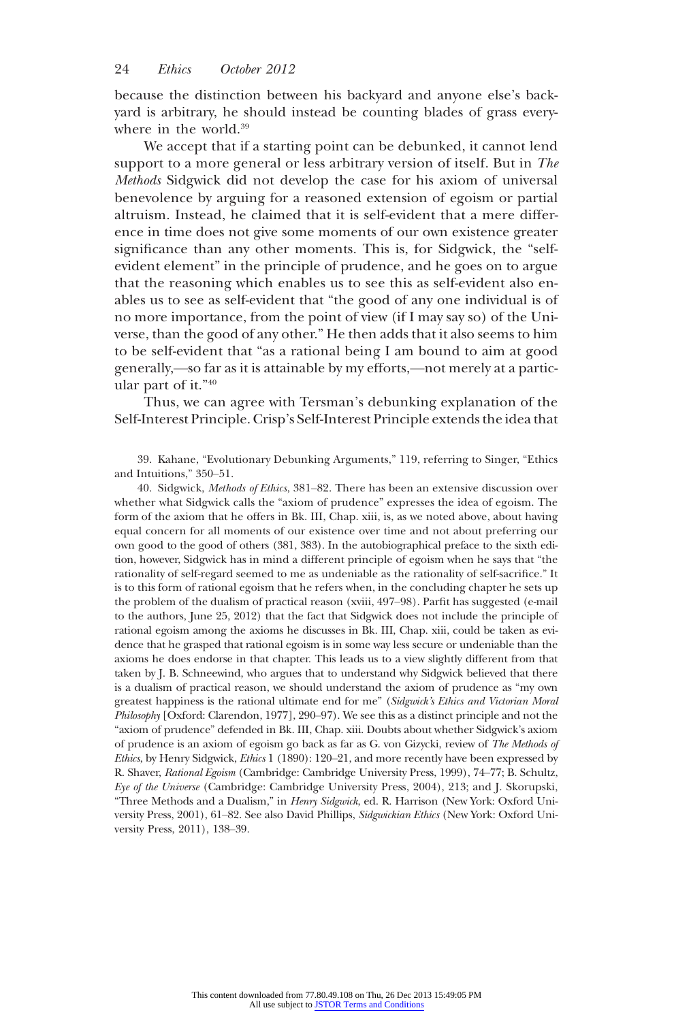because the distinction between his backyard and anyone else's backyard is arbitrary, he should instead be counting blades of grass everywhere in the world.<sup>39</sup>

We accept that if a starting point can be debunked, it cannot lend support to a more general or less arbitrary version of itself. But in *The* Methods Sidgwick did not develop the case for his axiom of universal benevolence by arguing for a reasoned extension of egoism or partial altruism. Instead, he claimed that it is self-evident that a mere difference in time does not give some moments of our own existence greater significance than any other moments. This is, for Sidgwick, the "selfevident element" in the principle of prudence, and he goes on to argue that the reasoning which enables us to see this as self-evident also enables us to see as self-evident that "the good of any one individual is of no more importance, from the point of view (if I may say so) of the Universe, than the good of any other." He then adds that it also seems to him to be self-evident that "as a rational being I am bound to aim at good generally,—so far as it is attainable by my efforts,—not merely at a particular part of it."40

Thus, we can agree with Tersman's debunking explanation of the Self-Interest Principle. Crisp's Self-Interest Principle extends the idea that

39. Kahane, "Evolutionary Debunking Arguments," 119, referring to Singer, "Ethics and Intuitions," 350–51.

40. Sidgwick, Methods of Ethics, 381–82. There has been an extensive discussion over whether what Sidgwick calls the "axiom of prudence" expresses the idea of egoism. The form of the axiom that he offers in Bk. III, Chap. xiii, is, as we noted above, about having equal concern for all moments of our existence over time and not about preferring our own good to the good of others (381, 383). In the autobiographical preface to the sixth edition, however, Sidgwick has in mind a different principle of egoism when he says that "the rationality of self-regard seemed to me as undeniable as the rationality of self-sacrifice." It is to this form of rational egoism that he refers when, in the concluding chapter he sets up the problem of the dualism of practical reason (xviii, 497–98). Parfit has suggested (e-mail to the authors, June 25, 2012) that the fact that Sidgwick does not include the principle of rational egoism among the axioms he discusses in Bk. III, Chap. xiii, could be taken as evidence that he grasped that rational egoism is in some way less secure or undeniable than the axioms he does endorse in that chapter. This leads us to a view slightly different from that taken by J. B. Schneewind, who argues that to understand why Sidgwick believed that there is a dualism of practical reason, we should understand the axiom of prudence as "my own greatest happiness is the rational ultimate end for me" (Sidgwick's Ethics and Victorian Moral Philosophy [Oxford: Clarendon, 1977], 290–97). We see this as a distinct principle and not the "axiom of prudence" defended in Bk. III, Chap. xiii. Doubts about whether Sidgwick's axiom of prudence is an axiom of egoism go back as far as G. von Gizycki, review of The Methods of Ethics, by Henry Sidgwick, Ethics 1 (1890): 120–21, and more recently have been expressed by R. Shaver, Rational Egoism (Cambridge: Cambridge University Press, 1999), 74–77; B. Schultz, Eye of the Universe (Cambridge: Cambridge University Press, 2004), 213; and J. Skorupski, "Three Methods and a Dualism," in Henry Sidgwick, ed. R. Harrison (New York: Oxford University Press, 2001), 61–82. See also David Phillips, Sidgwickian Ethics (New York: Oxford University Press, 2011), 138–39.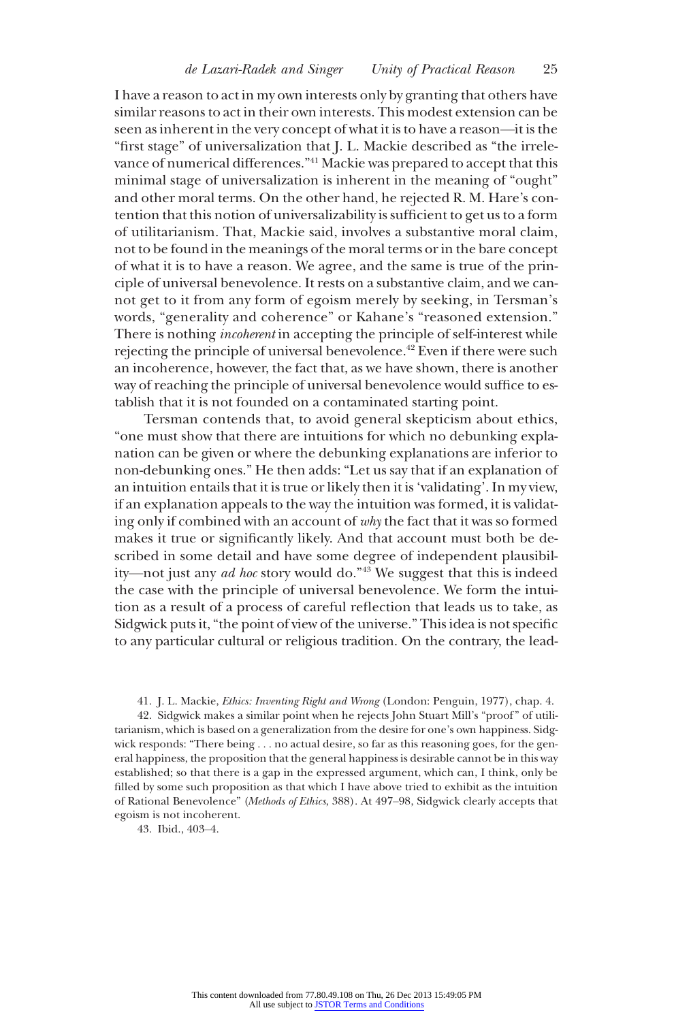I have a reason to act in my own interests only by granting that others have similar reasons to act in their own interests. This modest extension can be seen as inherent in the very concept of what it is to have a reason—it is the "first stage" of universalization that J. L. Mackie described as "the irrelevance of numerical differences."<sup>41</sup> Mackie was prepared to accept that this minimal stage of universalization is inherent in the meaning of "ought" and other moral terms. On the other hand, he rejected R. M. Hare's contention that this notion of universalizability is sufficient to get us to a form of utilitarianism. That, Mackie said, involves a substantive moral claim, not to be found in the meanings of the moral terms or in the bare concept of what it is to have a reason. We agree, and the same is true of the principle of universal benevolence. It rests on a substantive claim, and we cannot get to it from any form of egoism merely by seeking, in Tersman's words, "generality and coherence" or Kahane's "reasoned extension." There is nothing *incoherent* in accepting the principle of self-interest while rejecting the principle of universal benevolence.<sup>42</sup> Even if there were such an incoherence, however, the fact that, as we have shown, there is another way of reaching the principle of universal benevolence would suffice to establish that it is not founded on a contaminated starting point.

Tersman contends that, to avoid general skepticism about ethics, "one must show that there are intuitions for which no debunking explanation can be given or where the debunking explanations are inferior to non-debunking ones." He then adds: "Let us say that if an explanation of an intuition entails that it is true or likely then it is 'validating'. In my view, if an explanation appeals to the way the intuition was formed, it is validating only if combined with an account of why the fact that it was so formed makes it true or significantly likely. And that account must both be described in some detail and have some degree of independent plausibility—not just any *ad hoc* story would do."<sup>43</sup> We suggest that this is indeed the case with the principle of universal benevolence. We form the intuition as a result of a process of careful reflection that leads us to take, as Sidgwick puts it, "the point of view of the universe." This idea is not specific to any particular cultural or religious tradition. On the contrary, the lead-

41. J. L. Mackie, Ethics: Inventing Right and Wrong (London: Penguin, 1977), chap. 4.

42. Sidgwick makes a similar point when he rejects John Stuart Mill's "proof" of utilitarianism, which is based on a generalization from the desire for one's own happiness. Sidgwick responds: "There being . . . no actual desire, so far as this reasoning goes, for the general happiness, the proposition that the general happiness is desirable cannot be in this way established; so that there is a gap in the expressed argument, which can, I think, only be filled by some such proposition as that which I have above tried to exhibit as the intuition of Rational Benevolence" (Methods of Ethics, 388). At 497–98, Sidgwick clearly accepts that egoism is not incoherent.

43. Ibid., 403–4.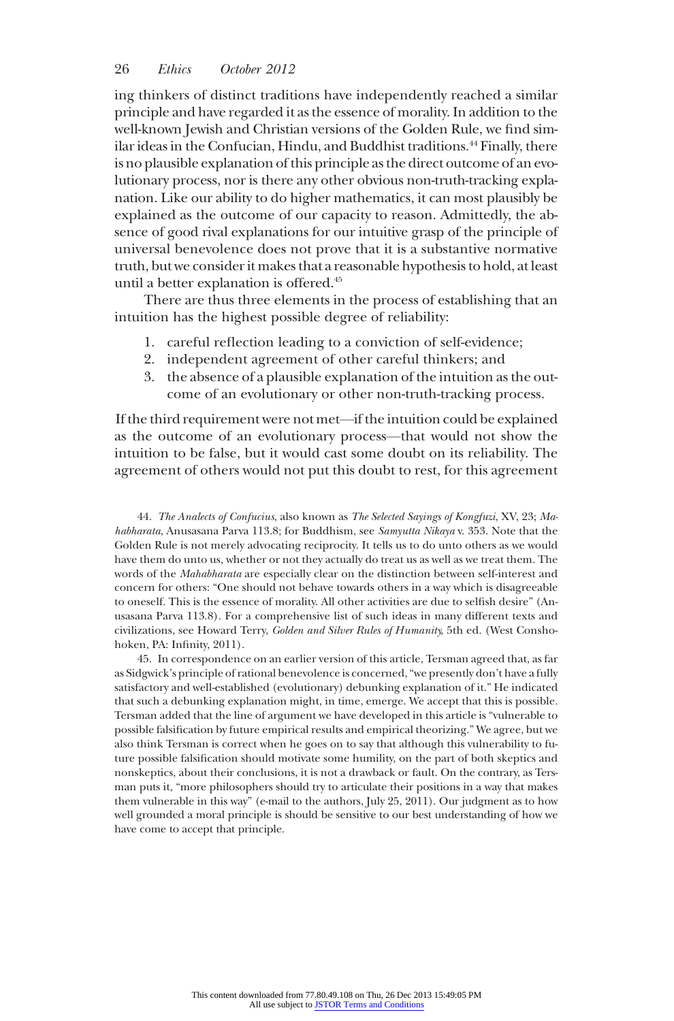ing thinkers of distinct traditions have independently reached a similar principle and have regarded it as the essence of morality. In addition to the well-known Jewish and Christian versions of the Golden Rule, we find similar ideas in the Confucian, Hindu, and Buddhist traditions.<sup>44</sup> Finally, there is no plausible explanation of this principle as the direct outcome of an evolutionary process, nor is there any other obvious non-truth-tracking explanation. Like our ability to do higher mathematics, it can most plausibly be explained as the outcome of our capacity to reason. Admittedly, the absence of good rival explanations for our intuitive grasp of the principle of universal benevolence does not prove that it is a substantive normative truth, but we consider it makes that a reasonable hypothesis to hold, at least until a better explanation is offered.<sup>45</sup>

There are thus three elements in the process of establishing that an intuition has the highest possible degree of reliability:

- 1. careful reflection leading to a conviction of self-evidence;
- 2. independent agreement of other careful thinkers; and
- 3. the absence of a plausible explanation of the intuition as the outcome of an evolutionary or other non-truth-tracking process.

If the third requirement were not met—if the intuition could be explained as the outcome of an evolutionary process—that would not show the intuition to be false, but it would cast some doubt on its reliability. The agreement of others would not put this doubt to rest, for this agreement

44. The Analects of Confucius, also known as The Selected Sayings of Kongfuzi, XV, 23; Mahabharata, Anusasana Parva 113.8; for Buddhism, see Samyutta Nikaya v. 353. Note that the Golden Rule is not merely advocating reciprocity. It tells us to do unto others as we would have them do unto us, whether or not they actually do treat us as well as we treat them. The words of the Mahabharata are especially clear on the distinction between self-interest and concern for others: "One should not behave towards others in a way which is disagreeable to oneself. This is the essence of morality. All other activities are due to selfish desire" (Anusasana Parva 113.8). For a comprehensive list of such ideas in many different texts and civilizations, see Howard Terry, Golden and Silver Rules of Humanity, 5th ed. (West Conshohoken, PA: Infinity, 2011).

45. In correspondence on an earlier version of this article, Tersman agreed that, as far as Sidgwick's principle of rational benevolence is concerned, "we presently don't have a fully satisfactory and well-established (evolutionary) debunking explanation of it." He indicated that such a debunking explanation might, in time, emerge. We accept that this is possible. Tersman added that the line of argument we have developed in this article is "vulnerable to possible falsification by future empirical results and empirical theorizing." We agree, but we also think Tersman is correct when he goes on to say that although this vulnerability to future possible falsification should motivate some humility, on the part of both skeptics and nonskeptics, about their conclusions, it is not a drawback or fault. On the contrary, as Tersman puts it, "more philosophers should try to articulate their positions in a way that makes them vulnerable in this way" (e-mail to the authors, July 25, 2011). Our judgment as to how well grounded a moral principle is should be sensitive to our best understanding of how we have come to accept that principle.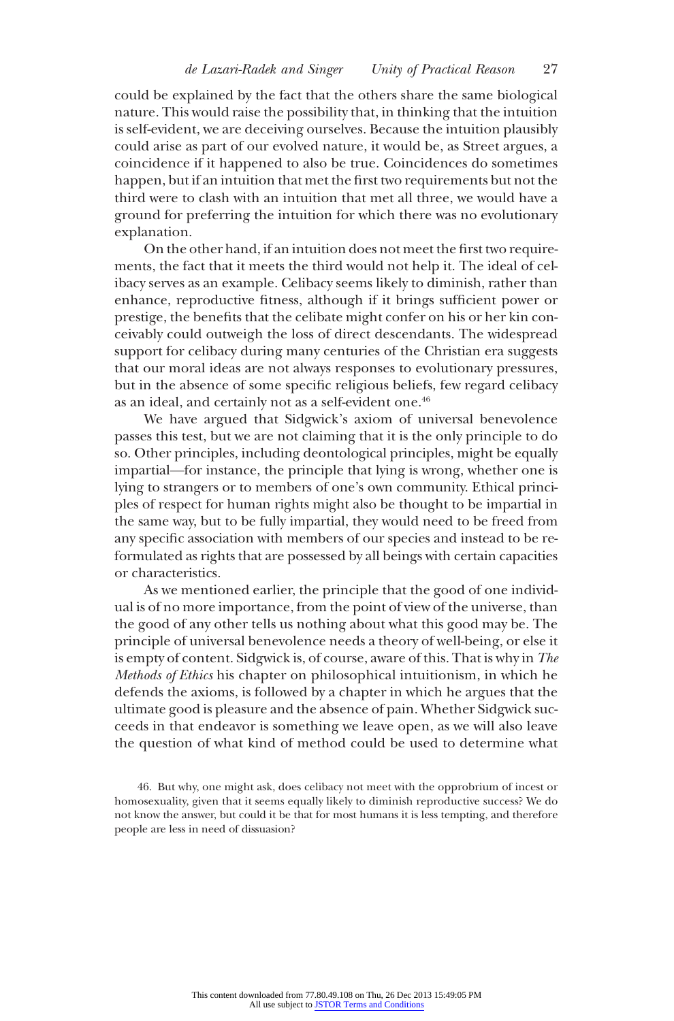could be explained by the fact that the others share the same biological nature. This would raise the possibility that, in thinking that the intuition is self-evident, we are deceiving ourselves. Because the intuition plausibly could arise as part of our evolved nature, it would be, as Street argues, a coincidence if it happened to also be true. Coincidences do sometimes happen, but if an intuition that met the first two requirements but not the third were to clash with an intuition that met all three, we would have a ground for preferring the intuition for which there was no evolutionary explanation.

On the other hand, if an intuition does not meet the first two requirements, the fact that it meets the third would not help it. The ideal of celibacy serves as an example. Celibacy seems likely to diminish, rather than enhance, reproductive fitness, although if it brings sufficient power or prestige, the benefits that the celibate might confer on his or her kin conceivably could outweigh the loss of direct descendants. The widespread support for celibacy during many centuries of the Christian era suggests that our moral ideas are not always responses to evolutionary pressures, but in the absence of some specific religious beliefs, few regard celibacy as an ideal, and certainly not as a self-evident one.<sup>46</sup>

We have argued that Sidgwick's axiom of universal benevolence passes this test, but we are not claiming that it is the only principle to do so. Other principles, including deontological principles, might be equally impartial—for instance, the principle that lying is wrong, whether one is lying to strangers or to members of one's own community. Ethical principles of respect for human rights might also be thought to be impartial in the same way, but to be fully impartial, they would need to be freed from any specific association with members of our species and instead to be reformulated as rights that are possessed by all beings with certain capacities or characteristics.

As we mentioned earlier, the principle that the good of one individual is of no more importance, from the point of view of the universe, than the good of any other tells us nothing about what this good may be. The principle of universal benevolence needs a theory of well-being, or else it is empty of content. Sidgwick is, of course, aware of this. That is why in The Methods of Ethics his chapter on philosophical intuitionism, in which he defends the axioms, is followed by a chapter in which he argues that the ultimate good is pleasure and the absence of pain. Whether Sidgwick succeeds in that endeavor is something we leave open, as we will also leave the question of what kind of method could be used to determine what

<sup>46.</sup> But why, one might ask, does celibacy not meet with the opprobrium of incest or homosexuality, given that it seems equally likely to diminish reproductive success? We do not know the answer, but could it be that for most humans it is less tempting, and therefore people are less in need of dissuasion?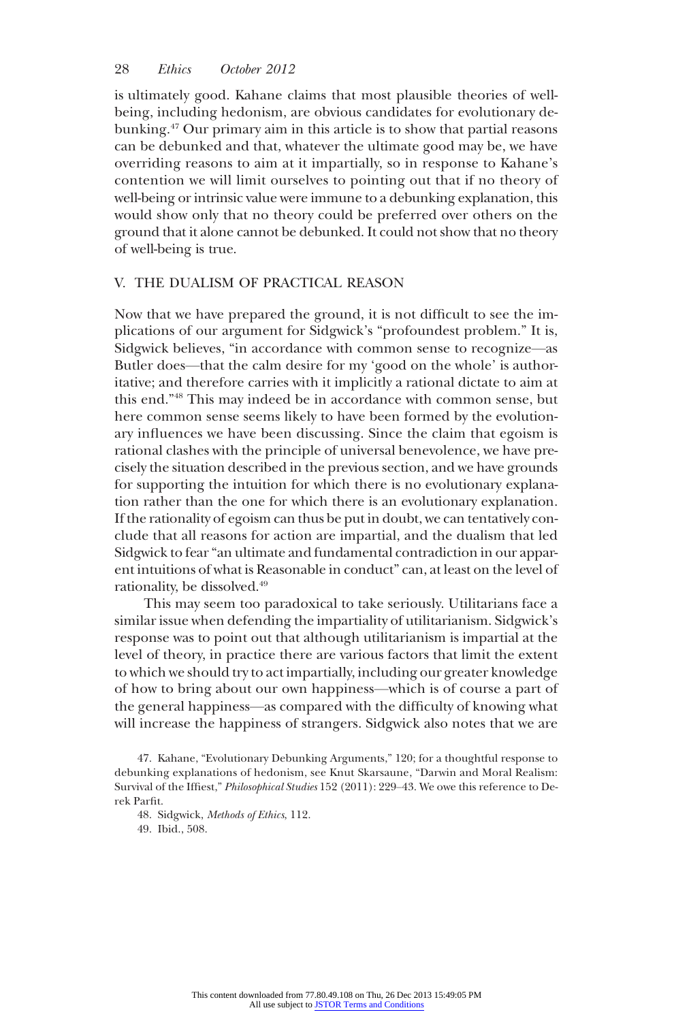is ultimately good. Kahane claims that most plausible theories of wellbeing, including hedonism, are obvious candidates for evolutionary debunking.47 Our primary aim in this article is to show that partial reasons can be debunked and that, whatever the ultimate good may be, we have overriding reasons to aim at it impartially, so in response to Kahane's contention we will limit ourselves to pointing out that if no theory of well-being or intrinsic value were immune to a debunking explanation, this would show only that no theory could be preferred over others on the ground that it alone cannot be debunked. It could not show that no theory of well-being is true.

#### V. THE DUALISM OF PRACTICAL REASON

Now that we have prepared the ground, it is not difficult to see the implications of our argument for Sidgwick's "profoundest problem." It is, Sidgwick believes, "in accordance with common sense to recognize—as Butler does—that the calm desire for my 'good on the whole' is authoritative; and therefore carries with it implicitly a rational dictate to aim at this end."48 This may indeed be in accordance with common sense, but here common sense seems likely to have been formed by the evolutionary influences we have been discussing. Since the claim that egoism is rational clashes with the principle of universal benevolence, we have precisely the situation described in the previous section, and we have grounds for supporting the intuition for which there is no evolutionary explanation rather than the one for which there is an evolutionary explanation. If the rationality of egoism can thus be put in doubt, we can tentatively conclude that all reasons for action are impartial, and the dualism that led Sidgwick to fear "an ultimate and fundamental contradiction in our apparent intuitions of what is Reasonable in conduct" can, at least on the level of rationality, be dissolved.49

This may seem too paradoxical to take seriously. Utilitarians face a similar issue when defending the impartiality of utilitarianism. Sidgwick's response was to point out that although utilitarianism is impartial at the level of theory, in practice there are various factors that limit the extent to which we should try to act impartially, including our greater knowledge of how to bring about our own happiness—which is of course a part of the general happiness—as compared with the difficulty of knowing what will increase the happiness of strangers. Sidgwick also notes that we are

48. Sidgwick, Methods of Ethics, 112.

49. Ibid., 508.

<sup>47.</sup> Kahane, "Evolutionary Debunking Arguments," 120; for a thoughtful response to debunking explanations of hedonism, see Knut Skarsaune, "Darwin and Moral Realism: Survival of the Iffiest," Philosophical Studies 152 (2011): 229–43. We owe this reference to Derek Parfit.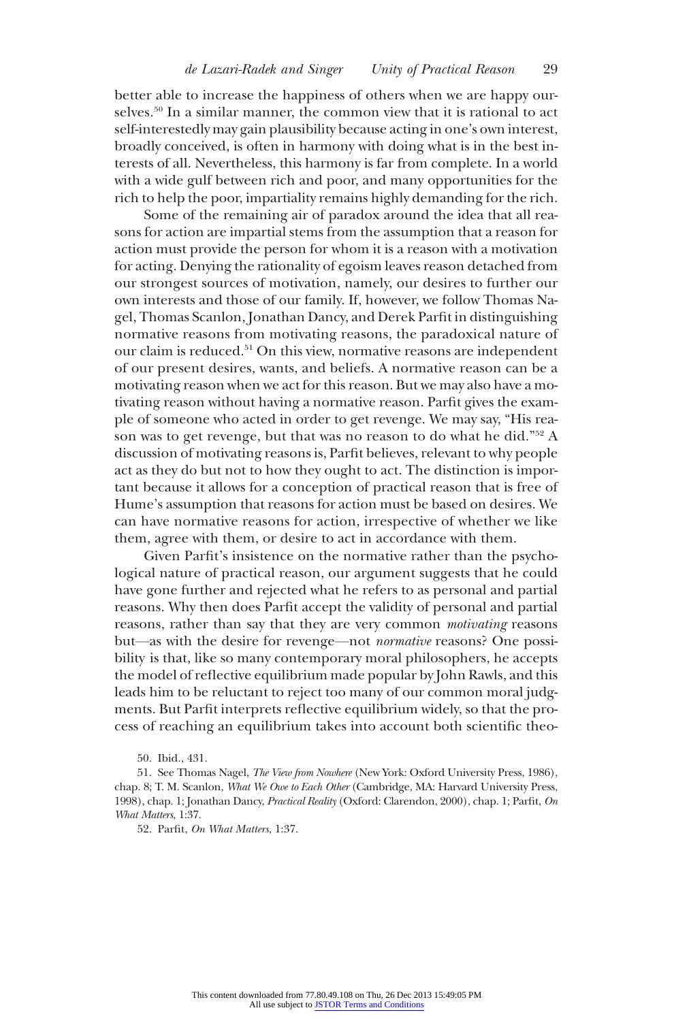better able to increase the happiness of others when we are happy ourselves.<sup>50</sup> In a similar manner, the common view that it is rational to act self-interestedly may gain plausibility because acting in one's own interest, broadly conceived, is often in harmony with doing what is in the best interests of all. Nevertheless, this harmony is far from complete. In a world with a wide gulf between rich and poor, and many opportunities for the rich to help the poor, impartiality remains highly demanding for the rich.

Some of the remaining air of paradox around the idea that all reasons for action are impartial stems from the assumption that a reason for action must provide the person for whom it is a reason with a motivation for acting. Denying the rationality of egoism leaves reason detached from our strongest sources of motivation, namely, our desires to further our own interests and those of our family. If, however, we follow Thomas Nagel, Thomas Scanlon, Jonathan Dancy, and Derek Parfit in distinguishing normative reasons from motivating reasons, the paradoxical nature of our claim is reduced.<sup>51</sup> On this view, normative reasons are independent of our present desires, wants, and beliefs. A normative reason can be a motivating reason when we act for this reason. But we may also have a motivating reason without having a normative reason. Parfit gives the example of someone who acted in order to get revenge. We may say, "His reason was to get revenge, but that was no reason to do what he did." $52$  A discussion of motivating reasons is, Parfit believes, relevant to why people act as they do but not to how they ought to act. The distinction is important because it allows for a conception of practical reason that is free of Hume's assumption that reasons for action must be based on desires. We can have normative reasons for action, irrespective of whether we like them, agree with them, or desire to act in accordance with them.

Given Parfit's insistence on the normative rather than the psychological nature of practical reason, our argument suggests that he could have gone further and rejected what he refers to as personal and partial reasons. Why then does Parfit accept the validity of personal and partial reasons, rather than say that they are very common motivating reasons but—as with the desire for revenge—not normative reasons? One possibility is that, like so many contemporary moral philosophers, he accepts the model of reflective equilibrium made popular by John Rawls, and this leads him to be reluctant to reject too many of our common moral judgments. But Parfit interprets reflective equilibrium widely, so that the process of reaching an equilibrium takes into account both scientific theo-

52. Parfit, On What Matters, 1:37.

<sup>50.</sup> Ibid., 431.

<sup>51.</sup> See Thomas Nagel, The View from Nowhere (New York: Oxford University Press, 1986), chap. 8; T. M. Scanlon, What We Owe to Each Other (Cambridge, MA: Harvard University Press, 1998), chap. 1; Jonathan Dancy, Practical Reality (Oxford: Clarendon, 2000), chap. 1; Parfit, On What Matters, 1:37.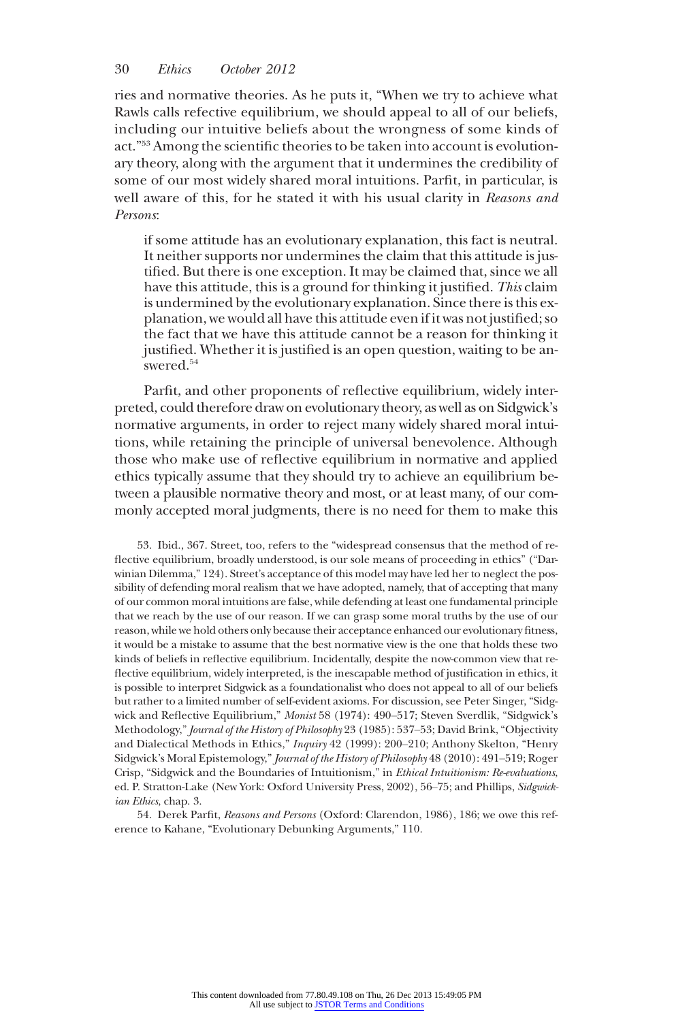ries and normative theories. As he puts it, "When we try to achieve what Rawls calls refective equilibrium, we should appeal to all of our beliefs, including our intuitive beliefs about the wrongness of some kinds of act."53 Among the scientific theories to be taken into account is evolutionary theory, along with the argument that it undermines the credibility of some of our most widely shared moral intuitions. Parfit, in particular, is well aware of this, for he stated it with his usual clarity in Reasons and Persons:

if some attitude has an evolutionary explanation, this fact is neutral. It neither supports nor undermines the claim that this attitude is justified. But there is one exception. It may be claimed that, since we all have this attitude, this is a ground for thinking it justified. This claim is undermined by the evolutionary explanation. Since there is this explanation, we would all have this attitude even if it was not justified; so the fact that we have this attitude cannot be a reason for thinking it justified. Whether it is justified is an open question, waiting to be answered.<sup>54</sup>

Parfit, and other proponents of reflective equilibrium, widely interpreted, could therefore draw on evolutionary theory, as well as on Sidgwick's normative arguments, in order to reject many widely shared moral intuitions, while retaining the principle of universal benevolence. Although those who make use of reflective equilibrium in normative and applied ethics typically assume that they should try to achieve an equilibrium between a plausible normative theory and most, or at least many, of our commonly accepted moral judgments, there is no need for them to make this

53. Ibid., 367. Street, too, refers to the "widespread consensus that the method of reflective equilibrium, broadly understood, is our sole means of proceeding in ethics" ("Darwinian Dilemma," 124). Street's acceptance of this model may have led her to neglect the possibility of defending moral realism that we have adopted, namely, that of accepting that many of our common moral intuitions are false, while defending at least one fundamental principle that we reach by the use of our reason. If we can grasp some moral truths by the use of our reason, while we hold others only because their acceptance enhanced our evolutionary fitness, it would be a mistake to assume that the best normative view is the one that holds these two kinds of beliefs in reflective equilibrium. Incidentally, despite the now-common view that reflective equilibrium, widely interpreted, is the inescapable method of justification in ethics, it is possible to interpret Sidgwick as a foundationalist who does not appeal to all of our beliefs but rather to a limited number of self-evident axioms. For discussion, see Peter Singer, "Sidgwick and Reflective Equilibrium," Monist 58 (1974): 490–517; Steven Sverdlik, "Sidgwick's Methodology,"Journal of the History of Philosophy 23 (1985): 537–53; David Brink, "Objectivity and Dialectical Methods in Ethics," Inquiry 42 (1999): 200–210; Anthony Skelton, "Henry Sidgwick's Moral Epistemology," Journal of the History of Philosophy 48 (2010): 491–519; Roger Crisp, "Sidgwick and the Boundaries of Intuitionism," in Ethical Intuitionism: Re-evaluations, ed. P. Stratton-Lake (New York: Oxford University Press, 2002), 56–75; and Phillips, Sidgwickian Ethics, chap. 3.

54. Derek Parfit, Reasons and Persons (Oxford: Clarendon, 1986), 186; we owe this reference to Kahane, "Evolutionary Debunking Arguments," 110.